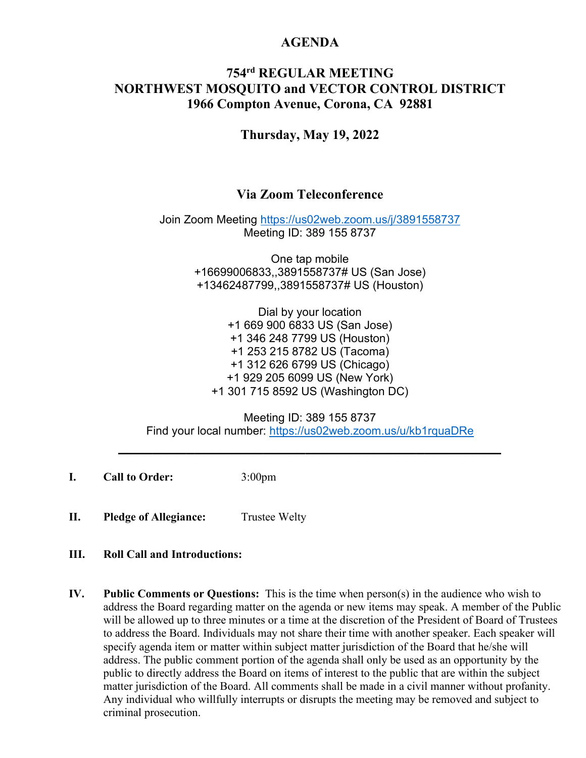### **AGENDA**

## **754rd REGULAR MEETING NORTHWEST MOSQUITO and VECTOR CONTROL DISTRICT 1966 Compton Avenue, Corona, CA 92881**

**Thursday, May 19, 2022**

## **Via Zoom Teleconference**

Join Zoom Meeting<https://us02web.zoom.us/j/3891558737> Meeting ID: 389 155 8737

> One tap mobile +16699006833,,3891558737# US (San Jose) +13462487799,,3891558737# US (Houston)

Dial by your location +1 669 900 6833 US (San Jose) +1 346 248 7799 US (Houston) +1 253 215 8782 US (Tacoma) +1 312 626 6799 US (Chicago) +1 929 205 6099 US (New York) +1 301 715 8592 US (Washington DC)

Meeting ID: 389 155 8737 Find your local number:<https://us02web.zoom.us/u/kb1rquaDRe>

**\_\_\_\_\_\_\_\_\_\_\_\_\_\_\_\_\_\_\_\_\_\_\_\_\_\_\_\_\_\_\_\_\_\_\_\_\_\_\_\_\_\_\_\_\_**

**I. Call to Order:** 3:00pm

**II. Pledge of Allegiance:** Trustee Welty

### **III. Roll Call and Introductions:**

**IV. Public Comments or Questions:** This is the time when person(s) in the audience who wish to address the Board regarding matter on the agenda or new items may speak. A member of the Public will be allowed up to three minutes or a time at the discretion of the President of Board of Trustees to address the Board. Individuals may not share their time with another speaker. Each speaker will specify agenda item or matter within subject matter jurisdiction of the Board that he/she will address. The public comment portion of the agenda shall only be used as an opportunity by the public to directly address the Board on items of interest to the public that are within the subject matter jurisdiction of the Board. All comments shall be made in a civil manner without profanity. Any individual who willfully interrupts or disrupts the meeting may be removed and subject to criminal prosecution.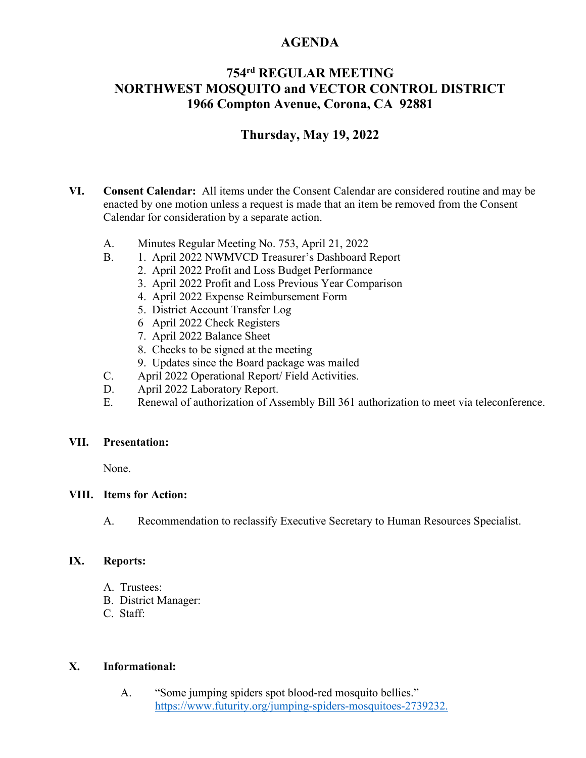## **AGENDA**

# **754rd REGULAR MEETING NORTHWEST MOSQUITO and VECTOR CONTROL DISTRICT 1966 Compton Avenue, Corona, CA 92881**

## **Thursday, May 19, 2022**

- **VI. Consent Calendar:** All items under the Consent Calendar are considered routine and may be enacted by one motion unless a request is made that an item be removed from the Consent Calendar for consideration by a separate action.
	- A. Minutes Regular Meeting No. 753, April 21, 2022
	- B. 1. April 2022 NWMVCD Treasurer's Dashboard Report
		- 2. April 2022 Profit and Loss Budget Performance
		- 3. April 2022 Profit and Loss Previous Year Comparison
		- 4. April 2022 Expense Reimbursement Form
		- 5. District Account Transfer Log
		- 6 April 2022 Check Registers
		- 7. April 2022 Balance Sheet
		- 8. Checks to be signed at the meeting
		- 9. Updates since the Board package was mailed
	- C. April 2022 Operational Report/ Field Activities.
	- D. April 2022 Laboratory Report.
	- E. Renewal of authorization of Assembly Bill 361 authorization to meet via teleconference.

### **VII. Presentation:**

None.

### **VIII. Items for Action:**

A. Recommendation to reclassify Executive Secretary to Human Resources Specialist.

### **IX. Reports:**

- A. Trustees:
- B. District Manager:
- C. Staff:

### **X. Informational:**

A. "Some jumping spiders spot blood-red mosquito bellies." <https://www.futurity.org/jumping-spiders-mosquitoes-2739232.>